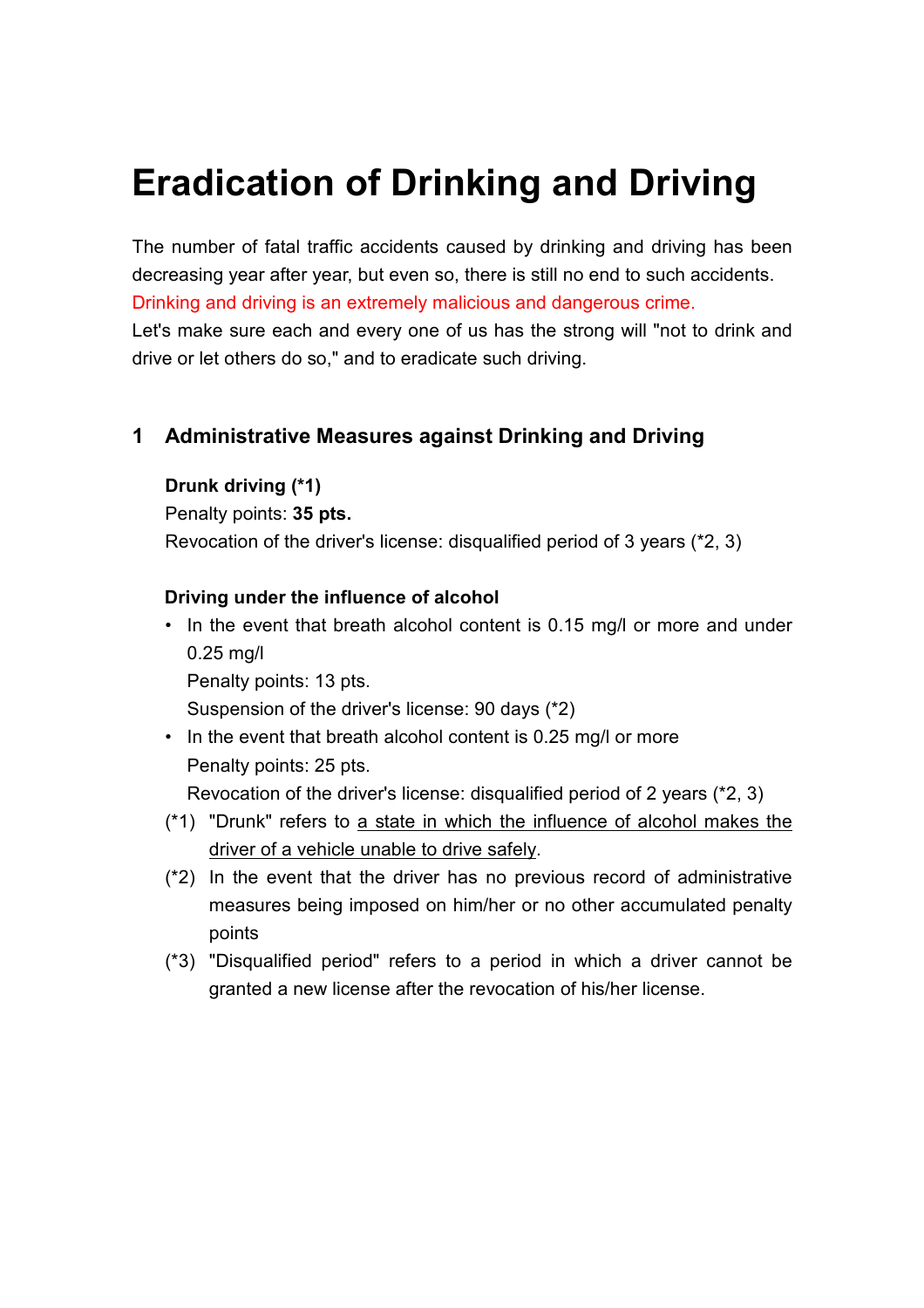# **Eradication of Drinking and Driving**

The number of fatal traffic accidents caused by drinking and driving has been decreasing year after year, but even so, there is still no end to such accidents. Drinking and driving is an extremely malicious and dangerous crime. Let's make sure each and every one of us has the strong will "not to drink and drive or let others do so," and to eradicate such driving.

## **1 Administrative Measures against Drinking and Driving**

#### **Drunk driving (\*1)**

Penalty points: **35 pts.**

Revocation of the driver's license: disqualified period of 3 years (\*2, 3)

#### **Driving under the influence of alcohol**

• In the event that breath alcohol content is 0.15 mg/l or more and under 0.25 mg/l

Penalty points: 13 pts.

Suspension of the driver's license: 90 days (\*2)

• In the event that breath alcohol content is 0.25 mg/l or more Penalty points: 25 pts.

Revocation of the driver's license: disqualified period of 2 years (\*2, 3)

- (\*1) "Drunk" refers to a state in which the influence of alcohol makes the driver of a vehicle unable to drive safely.
- (\*2) In the event that the driver has no previous record of administrative measures being imposed on him/her or no other accumulated penalty points
- (\*3) "Disqualified period" refers to a period in which a driver cannot be granted a new license after the revocation of his/her license.